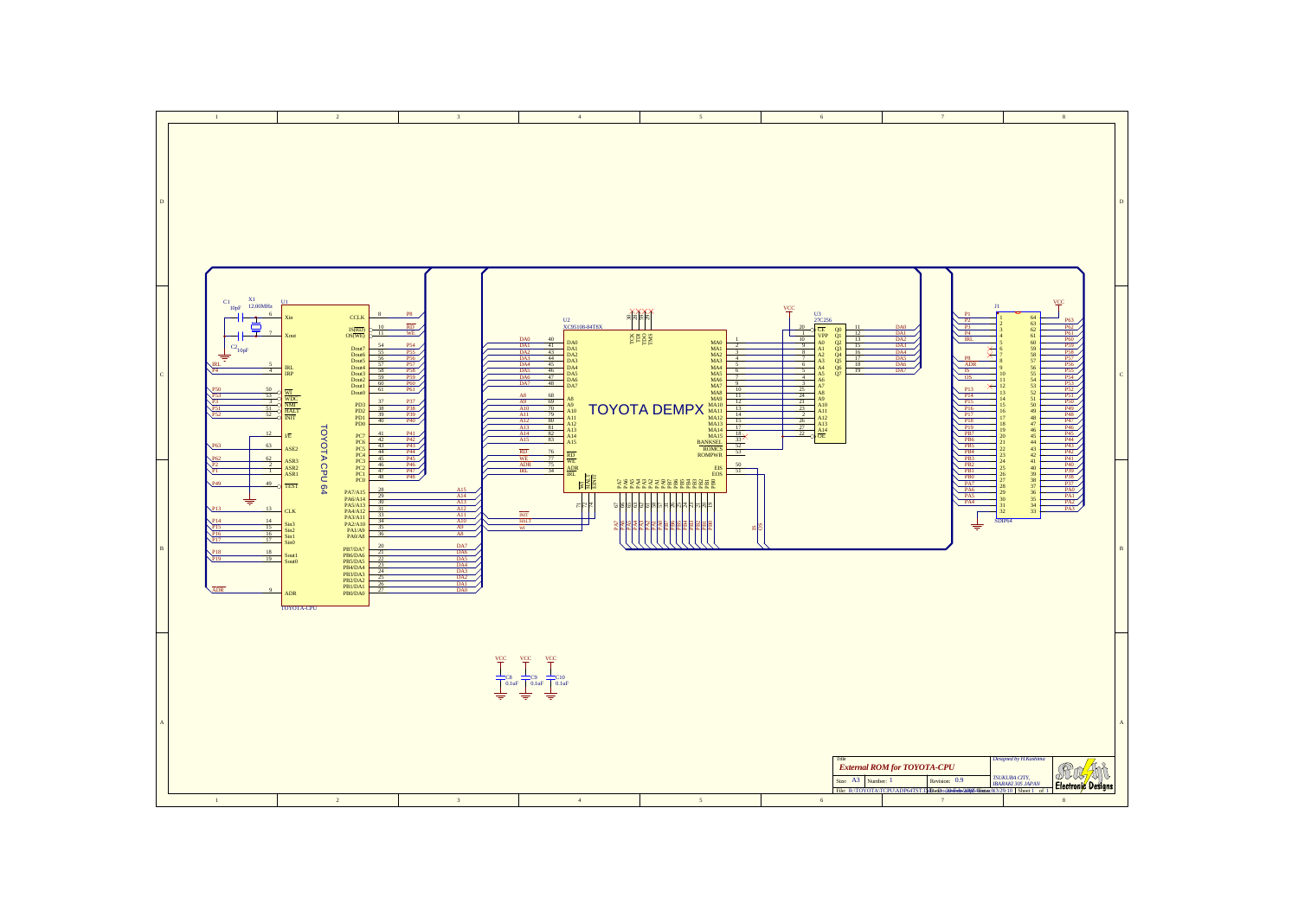